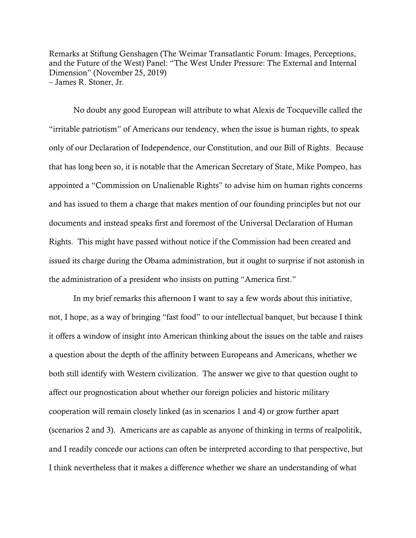Remarks at Stiftung Genshagen (The Weimar Transatlantic Forum: Images, Perceptions, and the Future of the West) Panel: "The West Under Pressure: The External and Internal Dimension" (November 25, 2019) – James R. Stoner, Jr.

No doubt any good European will attribute to what Alexis de Tocqueville called the "irritable patriotism" of Americans our tendency, when the issue is human rights, to speak only of our Declaration of Independence, our Constitution, and our Bill of Rights. Because that has long been so, it is notable that the American Secretary of State, Mike Pompeo, has appointed a "Commission on Unalienable Rights" to advise him on human rights concerns and has issued to them a charge that makes mention of our founding principles but not our documents and instead speaks first and foremost of the Universal Declaration of Human Rights. This might have passed without notice if the Commission had been created and issued its charge during the Obama administration, but it ought to surprise if not astonish in the administration of a president who insists on putting "America first."

In my brief remarks this afternoon I want to say a few words about this initiative, not, I hope, as a way of bringing "fast food" to our intellectual banquet, but because I think it offers a window of insight into American thinking about the issues on the table and raises a question about the depth of the affinity between Europeans and Americans, whether we both still identify with Western civilization. The answer we give to that question ought to affect our prognostication about whether our foreign policies and historic military cooperation will remain closely linked (as in scenarios 1 and 4) or grow further apart (scenarios 2 and 3). Americans are as capable as anyone of thinking in terms of realpolitik, and I readily concede our actions can often be interpreted according to that perspective, but I think nevertheless that it makes a difference whether we share an understanding of what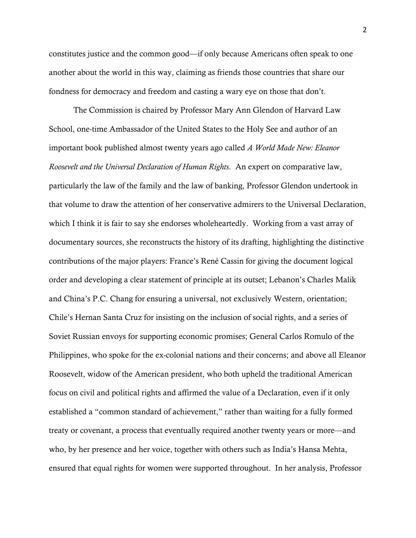constitutes justice and the common good—if only because Americans often speak to one another about the world in this way, claiming as friends those countries that share our fondness for democracy and freedom and casting a wary eye on those that don't.

The Commission is chaired by Professor Mary Ann Glendon of Harvard Law School, one-time Ambassador of the United States to the Holy See and author of an important book published almost twenty years ago called *A World Made New: Eleanor Roosevelt and the Universal Declaration of Human Rights*. An expert on comparative law, particularly the law of the family and the law of banking, Professor Glendon undertook in that volume to draw the attention of her conservative admirers to the Universal Declaration, which I think it is fair to say she endorses wholeheartedly. Working from a vast array of documentary sources, she reconstructs the history of its drafting, highlighting the distinctive contributions of the major players: France's René Cassin for giving the document logical order and developing a clear statement of principle at its outset; Lebanon's Charles Malik and China's P.C. Chang for ensuring a universal, not exclusively Western, orientation; Chile's Hernan Santa Cruz for insisting on the inclusion of social rights, and a series of Soviet Russian envoys for supporting economic promises; General Carlos Romulo of the Philippines, who spoke for the ex-colonial nations and their concerns; and above all Eleanor Roosevelt, widow of the American president, who both upheld the traditional American focus on civil and political rights and affirmed the value of a Declaration, even if it only established a "common standard of achievement," rather than waiting for a fully formed treaty or covenant, a process that eventually required another twenty years or more—and who, by her presence and her voice, together with others such as India's Hansa Mehta, ensured that equal rights for women were supported throughout. In her analysis, Professor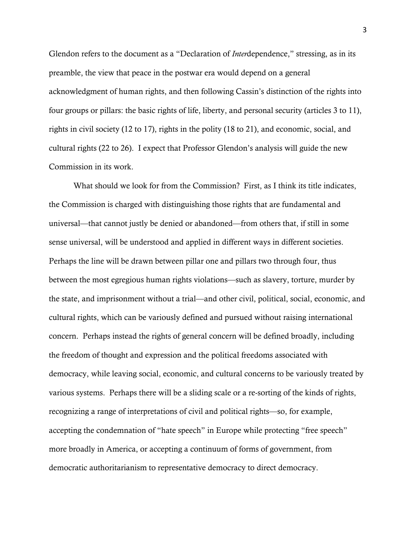Glendon refers to the document as a "Declaration of *Inter*dependence," stressing, as in its preamble, the view that peace in the postwar era would depend on a general acknowledgment of human rights, and then following Cassin's distinction of the rights into four groups or pillars: the basic rights of life, liberty, and personal security (articles 3 to 11), rights in civil society (12 to 17), rights in the polity (18 to 21), and economic, social, and cultural rights (22 to 26). I expect that Professor Glendon's analysis will guide the new Commission in its work.

What should we look for from the Commission? First, as I think its title indicates, the Commission is charged with distinguishing those rights that are fundamental and universal—that cannot justly be denied or abandoned—from others that, if still in some sense universal, will be understood and applied in different ways in different societies. Perhaps the line will be drawn between pillar one and pillars two through four, thus between the most egregious human rights violations—such as slavery, torture, murder by the state, and imprisonment without a trial—and other civil, political, social, economic, and cultural rights, which can be variously defined and pursued without raising international concern. Perhaps instead the rights of general concern will be defined broadly, including the freedom of thought and expression and the political freedoms associated with democracy, while leaving social, economic, and cultural concerns to be variously treated by various systems. Perhaps there will be a sliding scale or a re-sorting of the kinds of rights, recognizing a range of interpretations of civil and political rights—so, for example, accepting the condemnation of "hate speech" in Europe while protecting "free speech" more broadly in America, or accepting a continuum of forms of government, from democratic authoritarianism to representative democracy to direct democracy.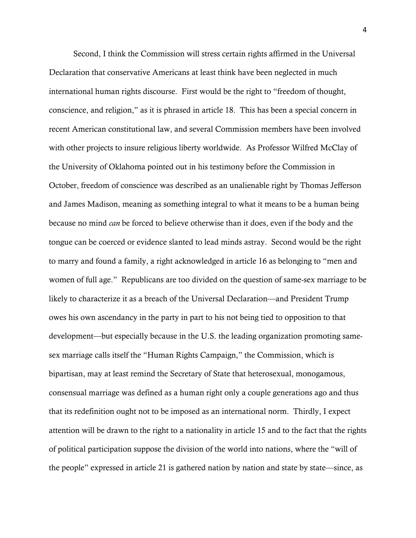Second, I think the Commission will stress certain rights affirmed in the Universal Declaration that conservative Americans at least think have been neglected in much international human rights discourse. First would be the right to "freedom of thought, conscience, and religion," as it is phrased in article 18. This has been a special concern in recent American constitutional law, and several Commission members have been involved with other projects to insure religious liberty worldwide. As Professor Wilfred McClay of the University of Oklahoma pointed out in his testimony before the Commission in October, freedom of conscience was described as an unalienable right by Thomas Jefferson and James Madison, meaning as something integral to what it means to be a human being because no mind *can* be forced to believe otherwise than it does, even if the body and the tongue can be coerced or evidence slanted to lead minds astray. Second would be the right to marry and found a family, a right acknowledged in article 16 as belonging to "men and women of full age." Republicans are too divided on the question of same-sex marriage to be likely to characterize it as a breach of the Universal Declaration—and President Trump owes his own ascendancy in the party in part to his not being tied to opposition to that development—but especially because in the U.S. the leading organization promoting samesex marriage calls itself the "Human Rights Campaign," the Commission, which is bipartisan, may at least remind the Secretary of State that heterosexual, monogamous, consensual marriage was defined as a human right only a couple generations ago and thus that its redefinition ought not to be imposed as an international norm. Thirdly, I expect attention will be drawn to the right to a nationality in article 15 and to the fact that the rights of political participation suppose the division of the world into nations, where the "will of the people" expressed in article 21 is gathered nation by nation and state by state—since, as